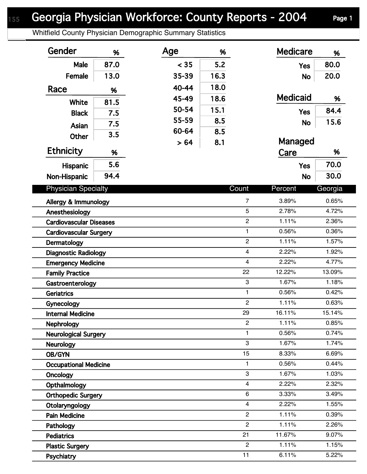## Georgia Physician Workforce: County Reports - 2004 Page 1

Whitfield County Physician Demographic Summary Statistics

| Gender                                           | %    | Age   | %    |                         | <b>Medicare</b> | %       |  |
|--------------------------------------------------|------|-------|------|-------------------------|-----------------|---------|--|
| Male                                             | 87.0 | < 35  | 5.2  |                         | <b>Yes</b>      | 80.0    |  |
| Female                                           | 13.0 | 35-39 | 16.3 |                         | <b>No</b>       | 20.0    |  |
| Race                                             | %    | 40-44 | 18.0 |                         |                 |         |  |
|                                                  |      | 45-49 | 18.6 |                         | <b>Medicaid</b> | %       |  |
| White                                            | 81.5 | 50-54 | 15.1 |                         | <b>Yes</b>      | 84.4    |  |
| <b>Black</b>                                     | 7.5  | 55-59 | 8.5  |                         |                 | 15.6    |  |
| Asian                                            | 7.5  | 60-64 | 8.5  |                         | <b>No</b>       |         |  |
| <b>Other</b>                                     | 3.5  | > 64  | 8.1  |                         | Managed         |         |  |
| <b>Ethnicity</b>                                 | %    |       |      |                         | Care            | %       |  |
| <b>Hispanic</b>                                  | 5.6  |       |      |                         | <b>Yes</b>      | 70.0    |  |
| Non-Hispanic                                     | 94.4 |       |      |                         | <b>No</b>       | 30.0    |  |
| <b>Physician Specialty</b>                       |      |       |      | Count                   | Percent         | Georgia |  |
|                                                  |      |       |      | $\overline{7}$          | 3.89%           | 0.65%   |  |
| Allergy & Immunology                             |      |       |      | 5                       | 2.78%           | 4.72%   |  |
| Anesthesiology<br><b>Cardiovascular Diseases</b> |      |       |      | $\overline{2}$          | 1.11%           | 2.36%   |  |
| <b>Cardiovascular Surgery</b>                    |      |       |      | $\mathbf{1}$            | 0.56%           | 0.36%   |  |
| Dermatology                                      |      |       |      | $\overline{c}$          | 1.11%           | 1.57%   |  |
| <b>Diagnostic Radiology</b>                      |      |       |      | $\overline{4}$          | 2.22%           | 1.92%   |  |
| <b>Emergency Medicine</b>                        |      |       |      | $\overline{\mathbf{4}}$ | 2.22%           | 4.77%   |  |
| <b>Family Practice</b>                           |      |       |      | 22                      | 12.22%          | 13.09%  |  |
| Gastroenterology                                 |      |       |      | 3                       | 1.67%           | 1.18%   |  |
| <b>Geriatrics</b>                                |      |       |      | $\mathbf{1}$            | 0.56%           | 0.42%   |  |
| Gynecology                                       |      |       |      | $\overline{c}$          | 1.11%           | 0.63%   |  |
| <b>Internal Medicine</b>                         |      |       |      | 29                      | 16.11%          | 15.14%  |  |
| <b>Nephrology</b>                                |      |       |      | $\mathbf{2}$            | 1.11%           | 0.85%   |  |
| <b>Neurological Surgery</b>                      |      |       |      | 1                       | 0.56%           | 0.74%   |  |
| Neurology                                        |      |       |      | 3                       | 1.67%           | 1.74%   |  |
| <b>OB/GYN</b>                                    |      |       |      | 15                      | 8.33%           | 6.69%   |  |
| <b>Occupational Medicine</b>                     |      |       |      | $\mathbf{1}$            | 0.56%           | 0.44%   |  |
| Oncology                                         |      |       |      | 3                       | 1.67%           | 1.03%   |  |
| Opthalmology                                     |      |       |      | $\overline{4}$          | 2.22%           | 2.32%   |  |
| <b>Orthopedic Surgery</b>                        |      |       |      | $\,6\,$                 | 3.33%           | 3.49%   |  |
| Otolaryngology                                   |      |       |      | $\overline{4}$          | 2.22%           | 1.55%   |  |
| <b>Pain Medicine</b>                             |      |       |      | $\overline{2}$          | 1.11%           | 0.39%   |  |
| Pathology                                        |      |       |      | $\overline{2}$          | 1.11%           | 2.26%   |  |
| <b>Pediatrics</b>                                |      |       |      | 21                      | 11.67%          | 9.07%   |  |
| <b>Plastic Surgery</b>                           |      |       |      | $\overline{2}$          | 1.11%           | 1.15%   |  |
| Psychiatry                                       |      |       |      | 11                      | 6.11%           | 5.22%   |  |